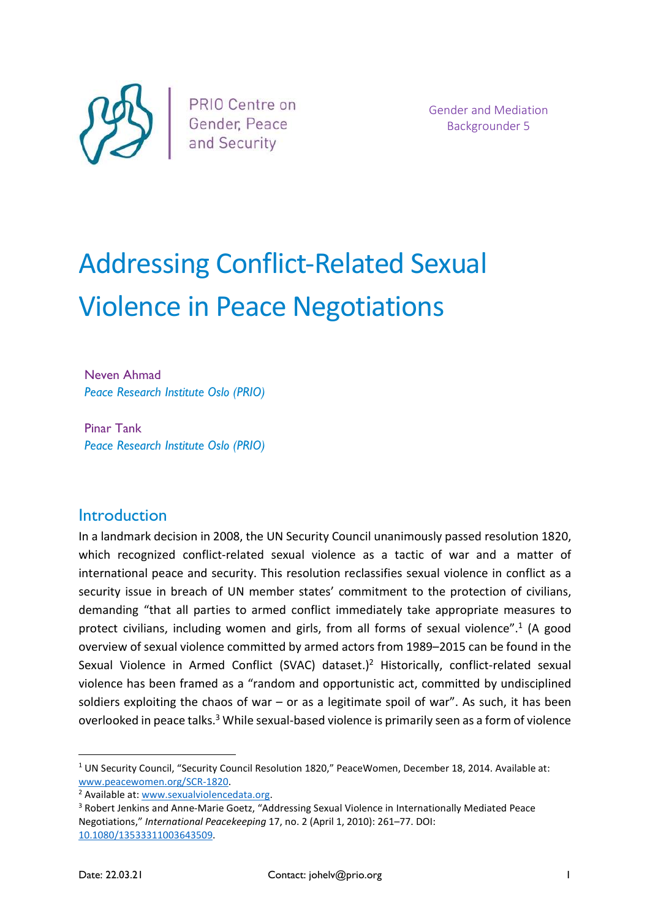

Gender and Mediation Backgrounder 5

# Addressing Conflict-Related Sexual Violence in Peace Negotiations

Neven Ahmad Peace Research Institute Oslo (PRIO)

Pinar Tank Peace Research Institute Oslo (PRIO)

#### **Introduction**

In a landmark decision in 2008, the UN Security Council unanimously passed resolution 1820, which recognized conflict-related sexual violence as a tactic of war and a matter of international peace and security. This resolution reclassifies sexual violence in conflict as a security issue in breach of UN member states' commitment to the protection of civilians, demanding "that all parties to armed conflict immediately take appropriate measures to protect civilians, including women and girls, from all forms of sexual violence".<sup>1</sup> (A good overview of sexual violence committed by armed actors from 1989–2015 can be found in the Sexual Violence in Armed Conflict (SVAC) dataset.)<sup>2</sup> Historically, conflict-related sexual violence has been framed as a "random and opportunistic act, committed by undisciplined soldiers exploiting the chaos of war – or as a legitimate spoil of war". As such, it has been overlooked in peace talks.<sup>3</sup> While sexual-based violence is primarily seen as a form of violence

<sup>&</sup>lt;sup>1</sup> UN Security Council, "Security Council Resolution 1820," PeaceWomen, December 18, 2014. Available at: www.peacewomen.org/SCR-1820.

<sup>&</sup>lt;sup>2</sup> Available at: www.sexualviolencedata.org.

<sup>&</sup>lt;sup>3</sup> Robert Jenkins and Anne-Marie Goetz, "Addressing Sexual Violence in Internationally Mediated Peace Negotiations," International Peacekeeping 17, no. 2 (April 1, 2010): 261–77. DOI: 10.1080/13533311003643509.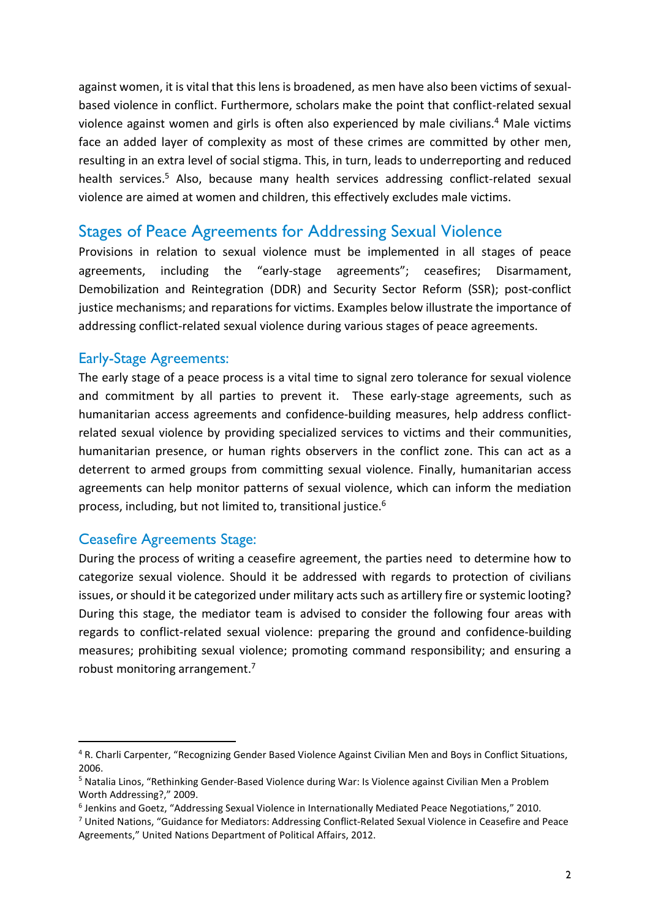against women, it is vital that this lens is broadened, as men have also been victims of sexualbased violence in conflict. Furthermore, scholars make the point that conflict-related sexual violence against women and girls is often also experienced by male civilians.<sup>4</sup> Male victims face an added layer of complexity as most of these crimes are committed by other men, resulting in an extra level of social stigma. This, in turn, leads to underreporting and reduced health services.<sup>5</sup> Also, because many health services addressing conflict-related sexual violence are aimed at women and children, this effectively excludes male victims.

### Stages of Peace Agreements for Addressing Sexual Violence

Provisions in relation to sexual violence must be implemented in all stages of peace agreements, including the "early-stage agreements"; ceasefires; Disarmament, Demobilization and Reintegration (DDR) and Security Sector Reform (SSR); post-conflict justice mechanisms; and reparations for victims. Examples below illustrate the importance of addressing conflict-related sexual violence during various stages of peace agreements.

#### Early-Stage Agreements:

The early stage of a peace process is a vital time to signal zero tolerance for sexual violence and commitment by all parties to prevent it. These early-stage agreements, such as humanitarian access agreements and confidence-building measures, help address conflictrelated sexual violence by providing specialized services to victims and their communities, humanitarian presence, or human rights observers in the conflict zone. This can act as a deterrent to armed groups from committing sexual violence. Finally, humanitarian access agreements can help monitor patterns of sexual violence, which can inform the mediation process, including, but not limited to, transitional justice.<sup>6</sup>

#### Ceasefire Agreements Stage:

During the process of writing a ceasefire agreement, the parties need to determine how to categorize sexual violence. Should it be addressed with regards to protection of civilians issues, or should it be categorized under military acts such as artillery fire or systemic looting? During this stage, the mediator team is advised to consider the following four areas with regards to conflict-related sexual violence: preparing the ground and confidence-building measures; prohibiting sexual violence; promoting command responsibility; and ensuring a robust monitoring arrangement.<sup>7</sup>

<sup>&</sup>lt;sup>4</sup> R. Charli Carpenter, "Recognizing Gender Based Violence Against Civilian Men and Boys in Conflict Situations, 2006.

<sup>&</sup>lt;sup>5</sup> Natalia Linos, "Rethinking Gender-Based Violence during War: Is Violence against Civilian Men a Problem Worth Addressing?," 2009.

<sup>&</sup>lt;sup>6</sup> Jenkins and Goetz, "Addressing Sexual Violence in Internationally Mediated Peace Negotiations," 2010.

<sup>&</sup>lt;sup>7</sup> United Nations, "Guidance for Mediators: Addressing Conflict-Related Sexual Violence in Ceasefire and Peace Agreements," United Nations Department of Political Affairs, 2012.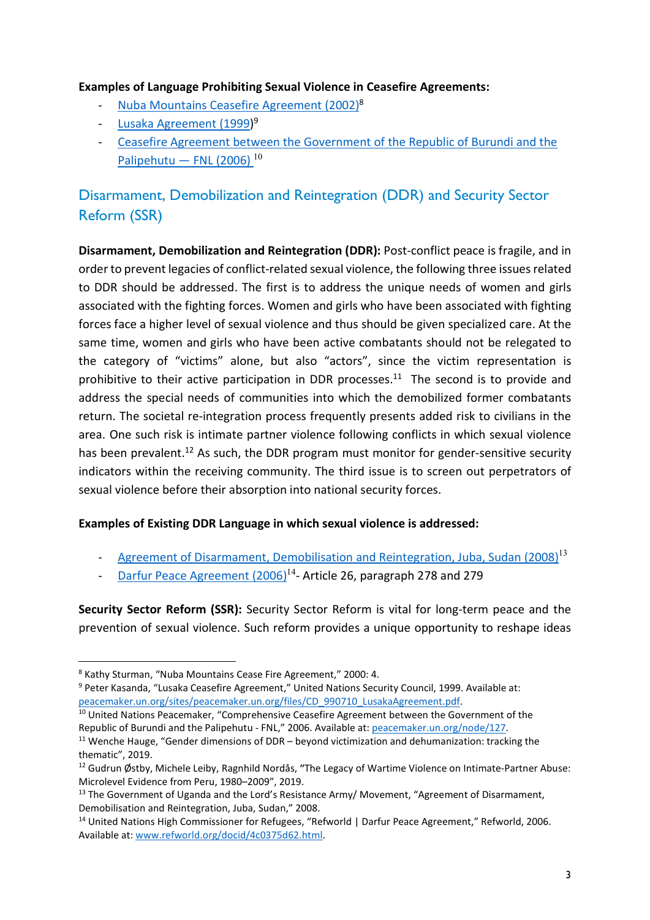#### Examples of Language Prohibiting Sexual Violence in Ceasefire Agreements:

- Nuba Mountains Ceasefire Agreement (2002)<sup>8</sup>
- Lusaka Agreement (1999)<sup>9</sup>
- Ceasefire Agreement between the Government of the Republic of Burundi and the Palipehutu — FNL (2006)<sup>10</sup>

## Disarmament, Demobilization and Reintegration (DDR) and Security Sector Reform (SSR)

Disarmament, Demobilization and Reintegration (DDR): Post-conflict peace is fragile, and in order to prevent legacies of conflict-related sexual violence, the following three issues related to DDR should be addressed. The first is to address the unique needs of women and girls associated with the fighting forces. Women and girls who have been associated with fighting forces face a higher level of sexual violence and thus should be given specialized care. At the same time, women and girls who have been active combatants should not be relegated to the category of "victims" alone, but also "actors", since the victim representation is prohibitive to their active participation in DDR processes.<sup>11</sup> The second is to provide and address the special needs of communities into which the demobilized former combatants return. The societal re-integration process frequently presents added risk to civilians in the area. One such risk is intimate partner violence following conflicts in which sexual violence has been prevalent.<sup>12</sup> As such, the DDR program must monitor for gender-sensitive security indicators within the receiving community. The third issue is to screen out perpetrators of sexual violence before their absorption into national security forces.

#### Examples of Existing DDR Language in which sexual violence is addressed:

- Agreement of Disarmament, Demobilisation and Reintegration, Juba, Sudan (2008)<sup>13</sup>
- Darfur Peace Agreement (2006)<sup>14</sup>- Article 26, paragraph 278 and 279

Security Sector Reform (SSR): Security Sector Reform is vital for long-term peace and the prevention of sexual violence. Such reform provides a unique opportunity to reshape ideas

<sup>10</sup> United Nations Peacemaker, "Comprehensive Ceasefire Agreement between the Government of the Republic of Burundi and the Palipehutu - FNL," 2006. Available at: peacemaker.un.org/node/127.

<sup>&</sup>lt;sup>8</sup> Kathy Sturman, "Nuba Mountains Cease Fire Agreement," 2000: 4.

<sup>&</sup>lt;sup>9</sup> Peter Kasanda, "Lusaka Ceasefire Agreement," United Nations Security Council, 1999. Available at: peacemaker.un.org/sites/peacemaker.un.org/files/CD\_990710\_LusakaAgreement.pdf.

<sup>&</sup>lt;sup>11</sup> Wenche Hauge, "Gender dimensions of DDR – beyond victimization and dehumanization: tracking the thematic", 2019.

<sup>&</sup>lt;sup>12</sup> Gudrun Østby, Michele Leiby, Ragnhild Nordås, "The Legacy of Wartime Violence on Intimate-Partner Abuse: Microlevel Evidence from Peru, 1980–2009", 2019.

<sup>&</sup>lt;sup>13</sup> The Government of Uganda and the Lord's Resistance Army/ Movement, "Agreement of Disarmament, Demobilisation and Reintegration, Juba, Sudan," 2008.

<sup>14</sup> United Nations High Commissioner for Refugees, "Refworld | Darfur Peace Agreement," Refworld, 2006. Available at: www.refworld.org/docid/4c0375d62.html.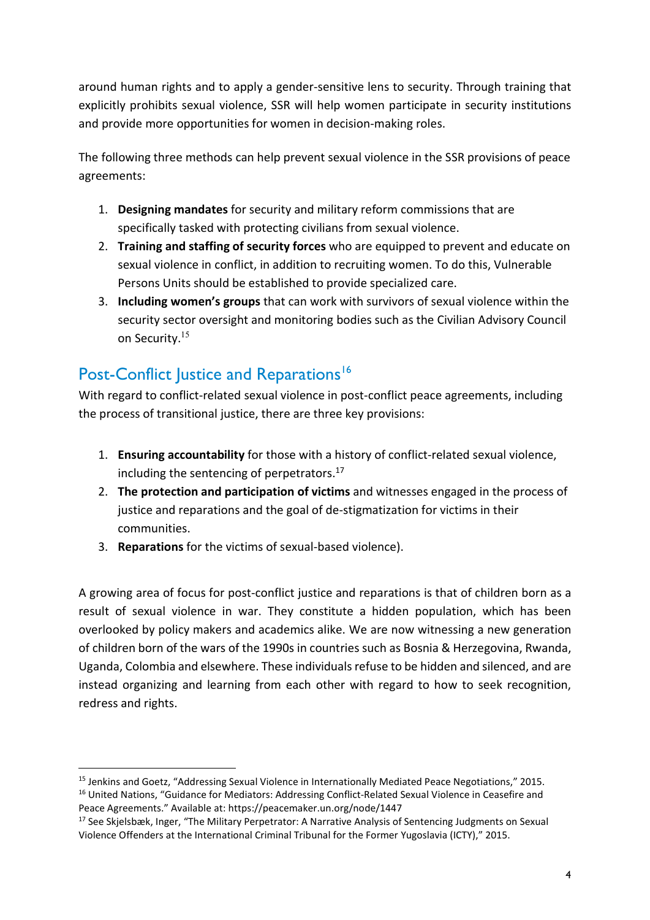around human rights and to apply a gender-sensitive lens to security. Through training that explicitly prohibits sexual violence, SSR will help women participate in security institutions and provide more opportunities for women in decision-making roles.

The following three methods can help prevent sexual violence in the SSR provisions of peace agreements:

- 1. Designing mandates for security and military reform commissions that are specifically tasked with protecting civilians from sexual violence.
- 2. Training and staffing of security forces who are equipped to prevent and educate on sexual violence in conflict, in addition to recruiting women. To do this, Vulnerable Persons Units should be established to provide specialized care.
- 3. Including women's groups that can work with survivors of sexual violence within the security sector oversight and monitoring bodies such as the Civilian Advisory Council on Security.<sup>15</sup>

# Post-Conflict Justice and Reparations<sup>16</sup>

With regard to conflict-related sexual violence in post-conflict peace agreements, including the process of transitional justice, there are three key provisions:

- 1. Ensuring accountability for those with a history of conflict-related sexual violence, including the sentencing of perpetrators.<sup>17</sup>
- 2. The protection and participation of victims and witnesses engaged in the process of justice and reparations and the goal of de-stigmatization for victims in their communities.
- 3. Reparations for the victims of sexual-based violence).

A growing area of focus for post-conflict justice and reparations is that of children born as a result of sexual violence in war. They constitute a hidden population, which has been overlooked by policy makers and academics alike. We are now witnessing a new generation of children born of the wars of the 1990s in countries such as Bosnia & Herzegovina, Rwanda, Uganda, Colombia and elsewhere. These individuals refuse to be hidden and silenced, and are instead organizing and learning from each other with regard to how to seek recognition, redress and rights.

<sup>&</sup>lt;sup>15</sup> Jenkins and Goetz, "Addressing Sexual Violence in Internationally Mediated Peace Negotiations," 2015.

<sup>&</sup>lt;sup>16</sup> United Nations, "Guidance for Mediators: Addressing Conflict-Related Sexual Violence in Ceasefire and Peace Agreements." Available at: https://peacemaker.un.org/node/1447

<sup>&</sup>lt;sup>17</sup> See Skielsbæk, Inger, "The Military Perpetrator: A Narrative Analysis of Sentencing Judgments on Sexual Violence Offenders at the International Criminal Tribunal for the Former Yugoslavia (ICTY)," 2015.